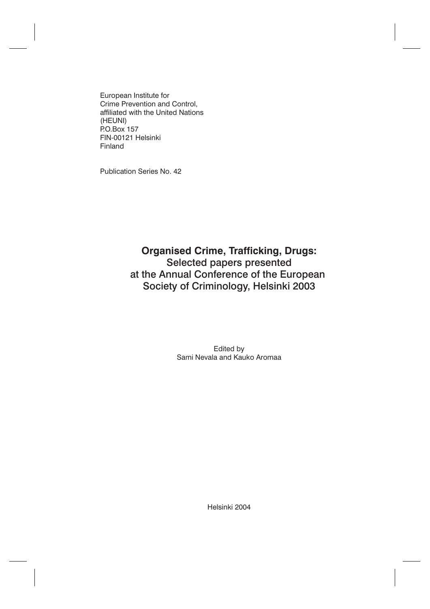European Institute for Crime Prevention and Control, affiliated with the United Nations (HEUNI) P.O.Box 157 FIN-00121 Helsinki Finland

Publication Series No. 42

## **Organised Crime, Trafficking, Drugs:** Selected papers presented [at the Annual Conference of the European](#page-1-0) Society of Criminology, Helsinki 2003

Edited by Sami Nevala and Kauko Aromaa

Helsinki 2004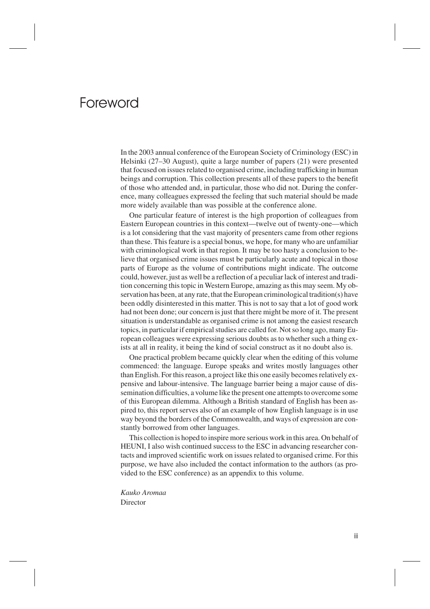# <span id="page-1-0"></span>Foreword

In the 2003 annual conference of the European Society of Criminology (ESC) in Helsinki (27–30 August), quite a large number of papers (21) were presented that focused on issues related to organised crime, including trafficking in human beings and corruption. This collection presents all of these papers to the benefit of those who attended and, in particular, those who did not. During the conference, many colleagues expressed the feeling that such material should be made more widely available than was possible at the conference alone.

One particular feature of interest is the high proportion of colleagues from Eastern European countries in this context—twelve out of twenty-one—which is a lot considering that the vast majority of presenters came from other regions than these. This feature is a special bonus, we hope, for many who are unfamiliar with criminological work in that region. It may be too hasty a conclusion to believe that organised crime issues must be particularly acute and topical in those parts of Europe as the volume of contributions might indicate. The outcome could, however, just as well be a reflection of a peculiar lack of interest and tradition concerning this topic in Western Europe, amazing as this may seem. My observation has been, at any rate, that the European criminological tradition(s) have been oddly disinterested in this matter. This is not to say that a lot of good work had not been done; our concern is just that there might be more of it. The present situation is understandable as organised crime is not among the easiest research topics, in particular if empirical studies are called for. Not so long ago, many European colleagues were expressing serious doubts as to whether such a thing exists at all in reality, it being the kind of social construct as it no doubt also is.

One practical problem became quickly clear when the editing of this volume commenced: the language. Europe speaks and writes mostly languages other than English. For this reason, a project like this one easily becomes relatively expensive and labour-intensive. The language barrier being a major cause of dissemination difficulties, a volume like the present one attempts to overcome some of this European dilemma. Although a British standard of English has been aspired to, this report serves also of an example of how English language is in use way beyond the borders of the Commonwealth, and ways of expression are constantly borrowed from other languages.

This collection is hoped to inspire more serious work in this area. On behalf of HEUNI, I also wish continued success to the ESC in advancing researcher contacts and improved scientific work on issues related to organised crime. For this purpose, we have also included the contact information to the authors (as provided to the ESC conference) as an appendix to this volume.

*Kauko Aromaa* Director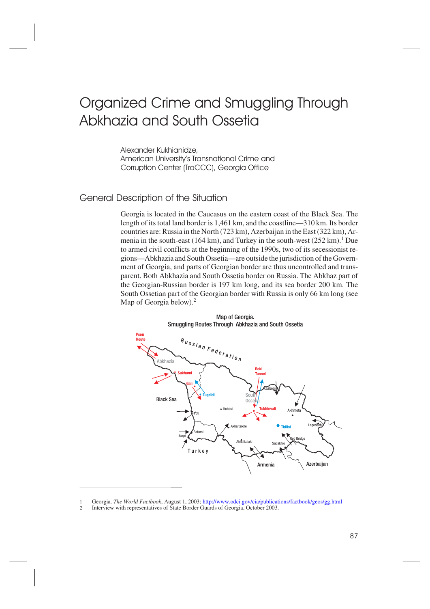# Organized Crime and Smuggling Through Abkhazia and South Ossetia

Alexander Kukhianidze, American University's Transnational Crime and Corruption Center (TraCCC), Georgia Office

## General Description of the Situation

Georgia is located in the Caucasus on the eastern coast of the Black Sea. The length of its total land border is 1,461 km, and the coastline—310 km. Its border countries are: Russia in the North (723 km), Azerbaijan in the East (322 km), Armenia in the south-east (164 km), and Turkey in the south-west (252 km).<sup>1</sup> Due to armed civil conflicts at the beginning of the 1990s, two of its secessionist regions—Abkhazia and South Ossetia—are outside the jurisdiction of the Government of Georgia, and parts of Georgian border are thus uncontrolled and transparent. Both Abkhazia and South Ossetia border on Russia. The Abkhaz part of the Georgian-Russian border is 197 km long, and its sea border 200 km. The South Ossetian part of the Georgian border with Russia is only 66 km long (see Map of Georgia below). $<sup>2</sup>$ </sup>



Map of Georgia. Smuggling Routes Through Abkhazia and South Ossetia

<sup>1</sup> Georgia. *The World Factbook*, August 1, 2003;<http://www.odci.gov/cia/publications/factbook/geos/gg.html>

<sup>2</sup> Interview with representatives of State Border Guards of Georgia, October 2003.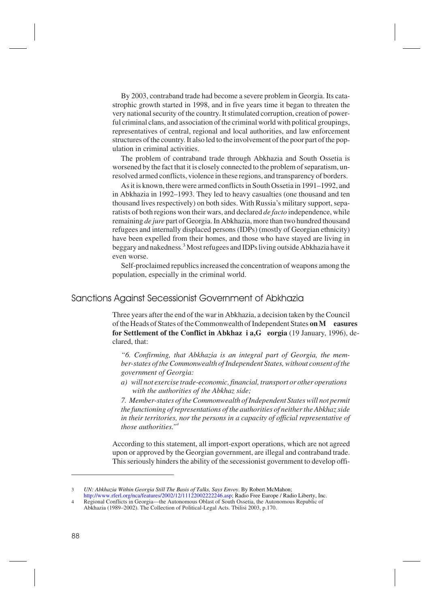By 2003, contraband trade had become a severe problem in Georgia. Its catastrophic growth started in 1998, and in five years time it began to threaten the very national security of the country. It stimulated corruption, creation of powerful criminal clans, and association of the criminal world with political groupings, representatives of central, regional and local authorities, and law enforcement structures of the country. It also led to the involvement of the poor part of the population in criminal activities.

The problem of contraband trade through Abkhazia and South Ossetia is worsened by the fact that it is closely connected to the problem of separatism, unresolved armed conflicts, violence in these regions, and transparency of borders.

As it is known, there were armed conflicts in South Ossetia in 1991–1992, and in Abkhazia in 1992–1993. They led to heavy casualties (one thousand and ten thousand lives respectively) on both sides. With Russia's military support, separatists of both regions won their wars, and declared *de facto* independence, while remaining *de jure* part of Georgia. In Abkhazia, more than two hundred thousand refugees and internally displaced persons (IDPs) (mostly of Georgian ethnicity) have been expelled from their homes, and those who have stayed are living in beggary and nakedness.3 Most refugees and IDPs living outside Abkhazia have it even worse.

Self-proclaimed republics increased the concentration of weapons among the population, especially in the criminal world.

## Sanctions Against Secessionist Government of Abkhazia

Three years after the end of the war in Abkhazia, a decision taken by the Council of the Heads of States of the Commonwealth of Independent States **on M easures for Settlement of the Conflict in Abkhaz i a,G eorgia** (19 January, 1996), declared, that:

*"6. Confirming, that Abkhazia is an integral part of Georgia, the member-states of the Commonwealth of Independent States, without consent of the government of Georgia:*

*a) will not exercise trade-economic, financial, transport or other operations with the authorities of the Abkhaz side;*

*7. Member-states of the Commonwealth of Independent States will not permit the functioning of representations of the authorities of neither the Abkhaz side in their territories, nor the persons in a capacity of official representative of those authorities."4*

According to this statement, all import-export operations, which are not agreed upon or approved by the Georgian government, are illegal and contraband trade. This seriously hinders the ability of the secessionist government to develop offi-

<sup>3</sup> *UN: Abkhazia Within Georgia Still The Basis of Talks, Says Envoy*. By Robert McMahon;

[http://www.rferl.org/nca/features/2002/12/11122002222246.asp;](http://www.rferl.org/nca/features/2002/12/11122002222246.asp) Radio Free Europe / Radio Liberty, Inc. 4 Regional Conflicts in Georgia—the Autonomous Oblast of South Ossetia, the Autonomous Republic of Abkhazia (1989–2002). The Collection of Political-Legal Acts. Tbilisi 2003, p.170.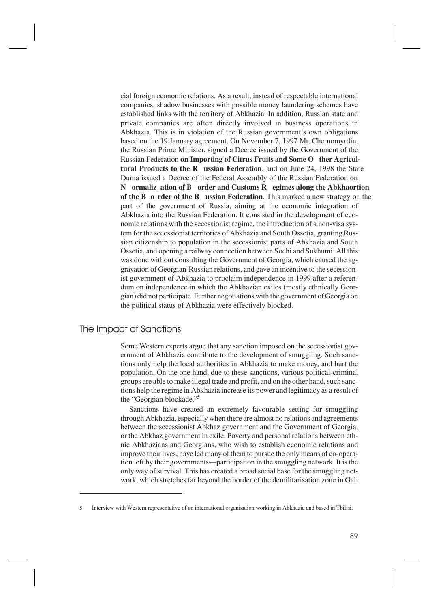cial foreign economic relations. As a result, instead of respectable international companies, shadow businesses with possible money laundering schemes have established links with the territory of Abkhazia. In addition, Russian state and private companies are often directly involved in business operations in Abkhazia. This is in violation of the Russian government's own obligations based on the 19 January agreement. On November 7, 1997 Mr. Chernomyrdin, the Russian Prime Minister, signed a Decree issued by the Government of the Russian Federation **on Importing of Citrus Fruits and Some O ther Agricultural Products to the R ussian Federation**, and on June 24, 1998 the State Duma issued a Decree of the Federal Assembly of the Russian Federation **on N ormaliz ation of B order and Customs R egimes along the Abkhaortion of the B o rder of the R ussian Federation**. This marked a new strategy on the part of the government of Russia, aiming at the economic integration of Abkhazia into the Russian Federation. It consisted in the development of economic relations with the secessionist regime, the introduction of a non-visa system for the secessionist territories of Abkhazia and South Ossetia, granting Russian citizenship to population in the secessionist parts of Abkhazia and South Ossetia, and opening a railway connection between Sochi and Sukhumi. All this was done without consulting the Government of Georgia, which caused the aggravation of Georgian-Russian relations, and gave an incentive to the secessionist government of Abkhazia to proclaim independence in 1999 after a referendum on independence in which the Abkhazian exiles (mostly ethnically Georgian) did not participate. Further negotiations with the government of Georgia on the political status of Abkhazia were effectively blocked.

#### The Impact of Sanctions

Some Western experts argue that any sanction imposed on the secessionist government of Abkhazia contribute to the development of smuggling. Such sanctions only help the local authorities in Abkhazia to make money, and hurt the population. On the one hand, due to these sanctions, various political-criminal groups are able to make illegal trade and profit, and on the other hand, such sanctions help the regime in Abkhazia increase its power and legitimacy as a result of the "Georgian blockade."5

Sanctions have created an extremely favourable setting for smuggling through Abkhazia, especially when there are almost no relations and agreements between the secessionist Abkhaz government and the Government of Georgia, or the Abkhaz government in exile. Poverty and personal relations between ethnic Abkhazians and Georgians, who wish to establish economic relations and improve their lives, have led many of them to pursue the only means of co-operation left by their governments—participation in the smuggling network. It is the only way of survival. This has created a broad social base for the smuggling network, which stretches far beyond the border of the demilitarisation zone in Gali

<sup>5</sup> Interview with Western representative of an international organization working in Abkhazia and based in Tbilisi.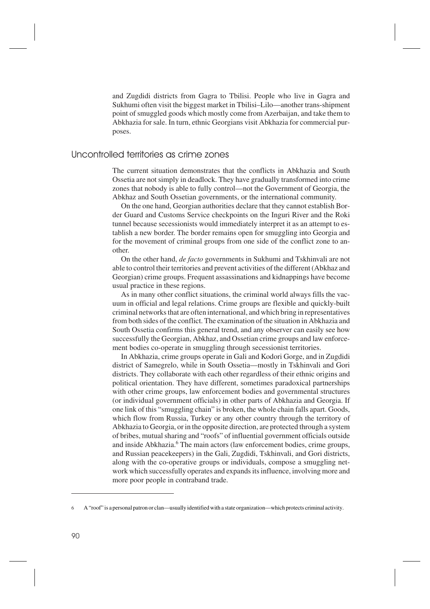and Zugdidi districts from Gagra to Tbilisi. People who live in Gagra and Sukhumi often visit the biggest market in Tbilisi–Lilo—another trans-shipment point of smuggled goods which mostly come from Azerbaijan, and take them to Abkhazia for sale. In turn, ethnic Georgians visit Abkhazia for commercial purposes.

## Uncontrolled territories as crime zones

The current situation demonstrates that the conflicts in Abkhazia and South Ossetia are not simply in deadlock. They have gradually transformed into crime zones that nobody is able to fully control—not the Government of Georgia, the Abkhaz and South Ossetian governments, or the international community.

On the one hand, Georgian authorities declare that they cannot establish Border Guard and Customs Service checkpoints on the Inguri River and the Roki tunnel because secessionists would immediately interpret it as an attempt to establish a new border. The border remains open for smuggling into Georgia and for the movement of criminal groups from one side of the conflict zone to another.

On the other hand, *de facto* governments in Sukhumi and Tskhinvali are not able to control their territories and prevent activities of the different (Abkhaz and Georgian) crime groups. Frequent assassinations and kidnappings have become usual practice in these regions.

As in many other conflict situations, the criminal world always fills the vacuum in official and legal relations. Crime groups are flexible and quickly-built criminal networks that are often international, and which bring in representatives from both sides of the conflict. The examination of the situation in Abkhazia and South Ossetia confirms this general trend, and any observer can easily see how successfully the Georgian, Abkhaz, and Ossetian crime groups and law enforcement bodies co-operate in smuggling through secessionist territories.

In Abkhazia, crime groups operate in Gali and Kodori Gorge, and in Zugdidi district of Samegrelo, while in South Ossetia—mostly in Tskhinvali and Gori districts. They collaborate with each other regardless of their ethnic origins and political orientation. They have different, sometimes paradoxical partnerships with other crime groups, law enforcement bodies and governmental structures (or individual government officials) in other parts of Abkhazia and Georgia. If one link of this "smuggling chain" is broken, the whole chain falls apart. Goods, which flow from Russia, Turkey or any other country through the territory of Abkhazia to Georgia, or in the opposite direction, are protected through a system of bribes, mutual sharing and "roofs" of influential government officials outside and inside Abkhazia.<sup>6</sup> The main actors (law enforcement bodies, crime groups, and Russian peacekeepers) in the Gali, Zugdidi, Tskhinvali, and Gori districts, along with the co-operative groups or individuals, compose a smuggling network which successfully operates and expands its influence, involving more and more poor people in contraband trade.

<sup>6</sup> A "roof" is a personal patron or clan—usually identified with a state organization—which protects criminal activity.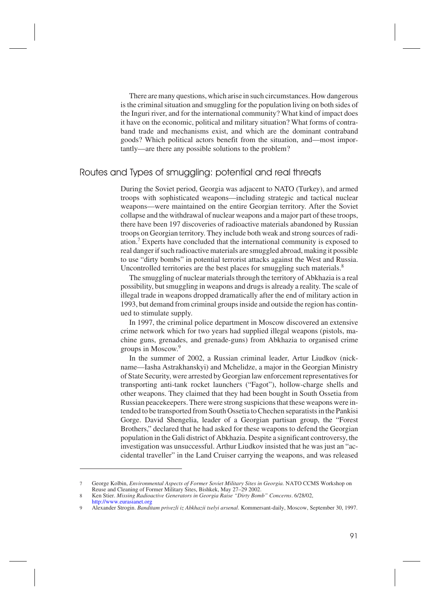There are many questions, which arise in such circumstances. How dangerous is the criminal situation and smuggling for the population living on both sides of the Inguri river, and for the international community? What kind of impact does it have on the economic, political and military situation? What forms of contraband trade and mechanisms exist, and which are the dominant contraband goods? Which political actors benefit from the situation, and—most importantly—are there any possible solutions to the problem?

## Routes and Types of smuggling: potential and real threats

During the Soviet period, Georgia was adjacent to NATO (Turkey), and armed troops with sophisticated weapons—including strategic and tactical nuclear weapons—were maintained on the entire Georgian territory. After the Soviet collapse and the withdrawal of nuclear weapons and a major part of these troops, there have been 197 discoveries of radioactive materials abandoned by Russian troops on Georgian territory. They include both weak and strong sources of radiation.<sup>7</sup> Experts have concluded that the international community is exposed to real danger if such radioactive materials are smuggled abroad, making it possible to use "dirty bombs" in potential terrorist attacks against the West and Russia. Uncontrolled territories are the best places for smuggling such materials.<sup>8</sup>

The smuggling of nuclear materials through the territory of Abkhazia is a real possibility, but smuggling in weapons and drugs is already a reality. The scale of illegal trade in weapons dropped dramatically after the end of military action in 1993, but demand from criminal groups inside and outside the region has continued to stimulate supply.

In 1997, the criminal police department in Moscow discovered an extensive crime network which for two years had supplied illegal weapons (pistols, machine guns, grenades, and grenade-guns) from Abkhazia to organised crime groups in Moscow.<sup>9</sup>

In the summer of 2002, a Russian criminal leader, Artur Liudkov (nickname—Iasha Astrakhanskyi) and Mchelidze, a major in the Georgian Ministry of State Security, were arrested by Georgian law enforcement representatives for transporting anti-tank rocket launchers ("Fagot"), hollow-charge shells and other weapons. They claimed that they had been bought in South Ossetia from Russian peacekeepers. There were strong suspicions that these weapons were intended to be transported from South Ossetia to Chechen separatists in the Pankisi Gorge. David Shengelia, leader of a Georgian partisan group, the "Forest Brothers," declared that he had asked for these weapons to defend the Georgian population in the Gali district of Abkhazia. Despite a significant controversy, the investigation was unsuccessful. Arthur Liudkov insisted that he was just an "accidental traveller" in the Land Cruiser carrying the weapons, and was released

<sup>7</sup> George Kolbin, *Environmental Aspects of Former Soviet Military Sites in Georgia.* NATO CCMS Workshop on Reuse and Cleaning of Former Military Sites, Bishkek, May 27–29 2002.

<sup>8</sup> Ken Stier. *Missing Radioactive Generators in Georgia Raise "Dirty Bomb" Concerns*. 6/28/02, <http://www.eurasianet.org>

<sup>9</sup> Alexander Strogin. *Banditam privezli iz Abkhazii tselyi arsenal*. Kommersant-daily, Moscow, September 30, 1997.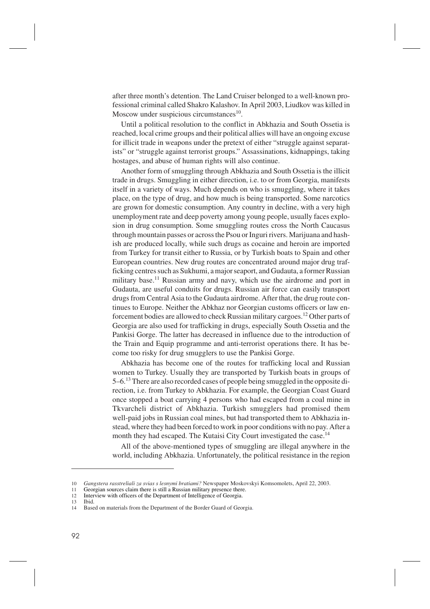after three month's detention. The Land Cruiser belonged to a well-known professional criminal called Shakro Kalashov. In April 2003, Liudkov was killed in Moscow under suspicious circumstances $10$ .

Until a political resolution to the conflict in Abkhazia and South Ossetia is reached, local crime groups and their political allies will have an ongoing excuse for illicit trade in weapons under the pretext of either "struggle against separatists" or "struggle against terrorist groups." Assassinations, kidnappings, taking hostages, and abuse of human rights will also continue.

Another form of smuggling through Abkhazia and South Ossetia is the illicit trade in drugs. Smuggling in either direction, i.e. to or from Georgia, manifests itself in a variety of ways. Much depends on who is smuggling, where it takes place, on the type of drug, and how much is being transported. Some narcotics are grown for domestic consumption. Any country in decline, with a very high unemployment rate and deep poverty among young people, usually faces explosion in drug consumption. Some smuggling routes cross the North Caucasus through mountain passes or across the Psou or Inguri rivers. Marijuana and hashish are produced locally, while such drugs as cocaine and heroin are imported from Turkey for transit either to Russia, or by Turkish boats to Spain and other European countries. New drug routes are concentrated around major drug trafficking centres such as Sukhumi, a major seaport, and Gudauta, a former Russian military base.<sup>11</sup> Russian army and navy, which use the airdrome and port in Gudauta, are useful conduits for drugs. Russian air force can easily transport drugs from Central Asia to the Gudauta airdrome. After that, the drug route continues to Europe. Neither the Abkhaz nor Georgian customs officers or law enforcement bodies are allowed to check Russian military cargoes.12 Other parts of Georgia are also used for trafficking in drugs, especially South Ossetia and the Pankisi Gorge. The latter has decreased in influence due to the introduction of the Train and Equip programme and anti-terrorist operations there. It has become too risky for drug smugglers to use the Pankisi Gorge.

Abkhazia has become one of the routes for trafficking local and Russian women to Turkey. Usually they are transported by Turkish boats in groups of 5–6.13 There are also recorded cases of people being smuggled in the opposite direction, i.e. from Turkey to Abkhazia. For example, the Georgian Coast Guard once stopped a boat carrying 4 persons who had escaped from a coal mine in Tkvarcheli district of Abkhazia. Turkish smugglers had promised them well-paid jobs in Russian coal mines, but had transported them to Abkhazia instead, where they had been forced to work in poor conditions with no pay. After a month they had escaped. The Kutaisi City Court investigated the case.<sup>14</sup>

All of the above-mentioned types of smuggling are illegal anywhere in the world, including Abkhazia. Unfortunately, the political resistance in the region

13 Ibid.

<sup>10</sup> *Gangstera rasstreliali za svias s lesnymi bratiami?* Newspaper Moskovskyi Komsomolets, April 22, 2003.

<sup>11</sup> Georgian sources claim there is still a Russian military presence there.<br>12 Interview with officers of the Department of Intelligence of Georgia

Interview with officers of the Department of Intelligence of Georgia.

<sup>14</sup> Based on materials from the Department of the Border Guard of Georgia.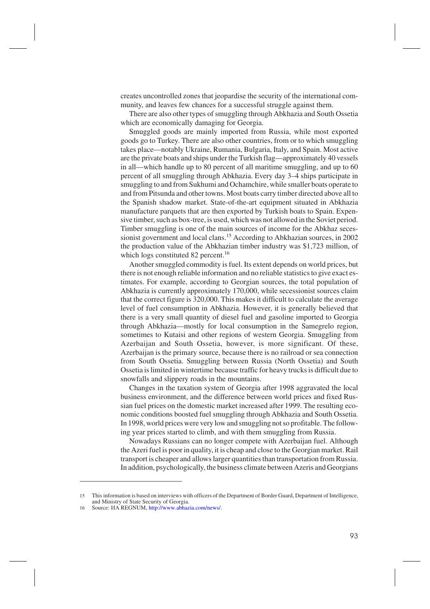creates uncontrolled zones that jeopardise the security of the international community, and leaves few chances for a successful struggle against them.

There are also other types of smuggling through Abkhazia and South Ossetia which are economically damaging for Georgia.

Smuggled goods are mainly imported from Russia, while most exported goods go to Turkey. There are also other countries, from or to which smuggling takes place—notably Ukraine, Rumania, Bulgaria, Italy, and Spain. Most active are the private boats and ships under the Turkish flag—approximately 40 vessels in all—which handle up to 80 percent of all maritime smuggling, and up to 60 percent of all smuggling through Abkhazia. Every day 3–4 ships participate in smuggling to and from Sukhumi and Ochamchire, while smaller boats operate to and from Pitsunda and other towns. Most boats carry timber directed above all to the Spanish shadow market. State-of-the-art equipment situated in Abkhazia manufacture parquets that are then exported by Turkish boats to Spain. Expensive timber, such as box-tree, is used, which was not allowed in the Soviet period. Timber smuggling is one of the main sources of income for the Abkhaz secessionist government and local clans.<sup>15</sup> According to Abkhazian sources, in 2002 the production value of the Abkhazian timber industry was \$1,723 million, of which logs constituted 82 percent.<sup>16</sup>

Another smuggled commodity is fuel. Its extent depends on world prices, but there is not enough reliable information and no reliable statistics to give exact estimates. For example, according to Georgian sources, the total population of Abkhazia is currently approximately 170,000, while secessionist sources claim that the correct figure is 320,000. This makes it difficult to calculate the average level of fuel consumption in Abkhazia. However, it is generally believed that there is a very small quantity of diesel fuel and gasoline imported to Georgia through Abkhazia—mostly for local consumption in the Samegrelo region, sometimes to Kutaisi and other regions of western Georgia. Smuggling from Azerbaijan and South Ossetia, however, is more significant. Of these, Azerbaijan is the primary source, because there is no railroad or sea connection from South Ossetia. Smuggling between Russia (North Ossetia) and South Ossetia is limited in wintertime because traffic for heavy trucks is difficult due to snowfalls and slippery roads in the mountains.

Changes in the taxation system of Georgia after 1998 aggravated the local business environment, and the difference between world prices and fixed Russian fuel prices on the domestic market increased after 1999. The resulting economic conditions boosted fuel smuggling through Abkhazia and South Ossetia. In 1998, world prices were very low and smuggling not so profitable. The following year prices started to climb, and with them smuggling from Russia.

Nowadays Russians can no longer compete with Azerbaijan fuel. Although the Azeri fuel is poor in quality, it is cheap and close to the Georgian market. Rail transport is cheaper and allows larger quantities than transportation from Russia. In addition, psychologically, the business climate between Azeris and Georgians

<sup>15</sup> This information is based on interviews with officers of the Department of Border Guard, Department of Intelligence, and Ministry of State Security of Georgia.

<sup>16</sup> Source: ИА REGNUM, [http://www.abhazia.com/news/.](http://www.abhazia.com/news/)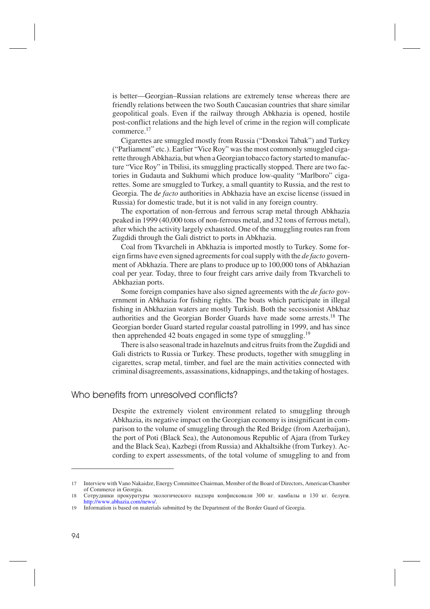is better—Georgian–Russian relations are extremely tense whereas there are friendly relations between the two South Caucasian countries that share similar geopolitical goals. Even if the railway through Abkhazia is opened, hostile post-conflict relations and the high level of crime in the region will complicate commerce.<sup>17</sup>

Cigarettes are smuggled mostly from Russia ("Donskoi Tabak") and Turkey ("Parliament" etc.). Earlier "Vice Roy" was the most commonly smuggled cigarette through Abkhazia, but when a Georgian tobacco factory started to manufacture "Vice Roy" in Tbilisi, its smuggling practically stopped. There are two factories in Gudauta and Sukhumi which produce low-quality "Marlboro" cigarettes. Some are smuggled to Turkey, a small quantity to Russia, and the rest to Georgia. The d*e facto* authorities in Abkhazia have an excise license (issued in Russia) for domestic trade, but it is not valid in any foreign country.

The exportation of non-ferrous and ferrous scrap metal through Abkhazia peaked in 1999 (40,000 tons of non-ferrous metal, and 32 tons of ferrous metal), after which the activity largely exhausted. One of the smuggling routes ran from Zugdidi through the Gali district to ports in Abkhazia.

Coal from Tkvarcheli in Abkhazia is imported mostly to Turkey. Some foreign firms have even signed agreements for coal supply with the *de facto* government of Abkhazia. There are plans to produce up to 100,000 tons of Abkhazian coal per year. Today, three to four freight cars arrive daily from Tkvarcheli to Abkhazian ports.

Some foreign companies have also signed agreements with the *de facto* government in Abkhazia for fishing rights. The boats which participate in illegal fishing in Abkhazian waters are mostly Turkish. Both the secessionist Abkhaz authorities and the Georgian Border Guards have made some arrests.18 The Georgian border Guard started regular coastal patrolling in 1999, and has since then apprehended 42 boats engaged in some type of smuggling.<sup>19</sup>

There is also seasonal trade in hazelnuts and citrus fruits from the Zugdidi and Gali districts to Russia or Turkey. These products, together with smuggling in cigarettes, scrap metal, timber, and fuel are the main activities connected with criminal disagreements, assassinations, kidnappings, and the taking of hostages.

#### Who benefits from unresolved conflicts?

Despite the extremely violent environment related to smuggling through Abkhazia, its negative impact on the Georgian economy is insignificant in comparison to the volume of smuggling through the Red Bridge (from Azerbaijan), the port of Poti (Black Sea), the Autonomous Republic of Ajara (from Turkey and the Black Sea), Kazbegi (from Russia) and Akhaltsikhe (from Turkey). According to expert assessments, of the total volume of smuggling to and from

<sup>17</sup> Interview with Vano Nakaidze, Energy Committee Chairman, Member of the Board of Directors, American Chamber of Commerce in Georgia.

<sup>18</sup> Сотрудники прокуратуры экологического надзора конфисковали 300 кг. камбалы и 130 кг. белуги. [http://www.abhazia.com/news/.](http://www.abhazia.com/news/)

<sup>19</sup> Information is based on materials submitted by the Department of the Border Guard of Georgia.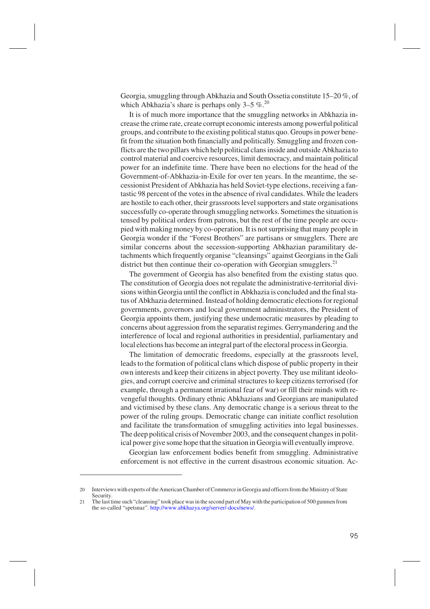Georgia, smuggling through Abkhazia and South Ossetia constitute 15–20 %, of which Abkhazia's share is perhaps only  $3-5\%$ .<sup>20</sup>

It is of much more importance that the smuggling networks in Abkhazia increase the crime rate, create corrupt economic interests among powerful political groups, and contribute to the existing political status quo. Groups in power benefit from the situation both financially and politically. Smuggling and frozen conflicts are the two pillars which help political clans inside and outside Abkhazia to control material and coercive resources, limit democracy, and maintain political power for an indefinite time. There have been no elections for the head of the Government-of-Abkhazia-in-Exile for over ten years. In the meantime, the secessionist President of Abkhazia has held Soviet-type elections, receiving a fantastic 98 percent of the votes in the absence of rival candidates. While the leaders are hostile to each other, their grassroots level supporters and state organisations successfully co-operate through smuggling networks. Sometimes the situation is tensed by political orders from patrons, but the rest of the time people are occupied with making money by co-operation. It is not surprising that many people in Georgia wonder if the "Forest Brothers" are partisans or smugglers. There are similar concerns about the secession-supporting Abkhazian paramilitary detachments which frequently organise "cleansings" against Georgians in the Gali district but then continue their co-operation with Georgian smugglers.<sup>21</sup>

The government of Georgia has also benefited from the existing status quo. The constitution of Georgia does not regulate the administrative-territorial divisions within Georgia until the conflict in Abkhazia is concluded and the final status of Abkhazia determined. Instead of holding democratic elections for regional governments, governors and local government administrators, the President of Georgia appoints them, justifying these undemocratic measures by pleading to concerns about aggression from the separatist regimes. Gerrymandering and the interference of local and regional authorities in presidential, parliamentary and local elections has become an integral part of the electoral process in Georgia.

The limitation of democratic freedoms, especially at the grassroots level, leads to the formation of political clans which dispose of public property in their own interests and keep their citizens in abject poverty. They use militant ideologies, and corrupt coercive and criminal structures to keep citizens terrorised (for example, through a permanent irrational fear of war) or fill their minds with revengeful thoughts. Ordinary ethnic Abkhazians and Georgians are manipulated and victimised by these clans. Any democratic change is a serious threat to the power of the ruling groups. Democratic change can initiate conflict resolution and facilitate the transformation of smuggling activities into legal businesses. The deep political crisis of November 2003, and the consequent changes in political power give some hope that the situation in Georgia will eventually improve.

Georgian law enforcement bodies benefit from smuggling. Administrative enforcement is not effective in the current disastrous economic situation. Ac-

<sup>20</sup> Interviews with experts of the American Chamber of Commerce in Georgia and officers from the Ministry of State Security.

<sup>21</sup> The last time such "cleansing" took place was in the second part of May with the participation of 500 gunmen from the so-called "spetsnaz". [http://www.abkhazya.org/server/-docs/news/.](http://www.abkhazya.org/server/-docs/news/)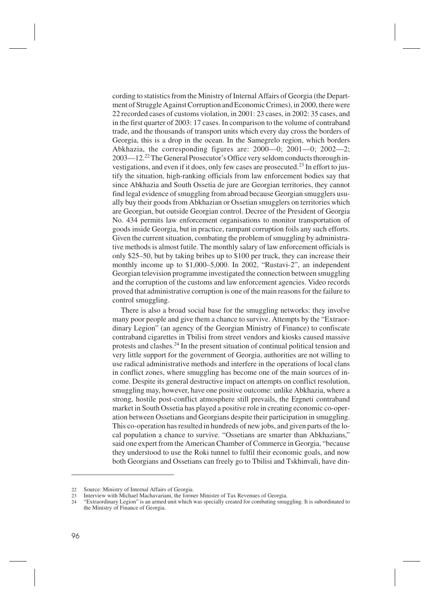cording to statistics from the Ministry of Internal Affairs of Georgia (the Department of Struggle Against Corruption and Economic Crimes), in 2000, there were 22 recorded cases of customs violation, in 2001: 23 cases, in 2002: 35 cases, and in the first quarter of 2003: 17 cases. In comparison to the volume of contraband trade, and the thousands of transport units which every day cross the borders of Georgia, this is a drop in the ocean. In the Samegrelo region, which borders Abkhazia, the corresponding figures are: 2000—0; 2001—0; 2002—2; 2003—12.22The General Prosecutor's Office very seldom conducts thorough investigations, and even if it does, only few cases are prosecuted.<sup>23</sup> In effort to justify the situation, high-ranking officials from law enforcement bodies say that since Abkhazia and South Ossetia de jure are Georgian territories, they cannot find legal evidence of smuggling from abroad because Georgian smugglers usually buy their goods from Abkhazian or Ossetian smugglers on territories which are Georgian, but outside Georgian control. Decree of the President of Georgia No. 434 permits law enforcement organisations to monitor transportation of goods inside Georgia, but in practice, rampant corruption foils any such efforts. Given the current situation, combating the problem of smuggling by administrative methods is almost futile. The monthly salary of law enforcement officials is only \$25–50, but by taking bribes up to \$100 per truck, they can increase their monthly income up to \$1,000–5,000. In 2002, "Rustavi-2", an independent Georgian television programme investigated the connection between smuggling and the corruption of the customs and law enforcement agencies. Video records proved that administrative corruption is one of the main reasons for the failure to control smuggling.

There is also a broad social base for the smuggling networks: they involve many poor people and give them a chance to survive. Attempts by the "Extraordinary Legion" (an agency of the Georgian Ministry of Finance) to confiscate contraband cigarettes in Tbilisi from street vendors and kiosks caused massive protests and clashes.<sup>24</sup> In the present situation of continual political tension and very little support for the government of Georgia, authorities are not willing to use radical administrative methods and interfere in the operations of local clans in conflict zones, where smuggling has become one of the main sources of income. Despite its general destructive impact on attempts on conflict resolution, smuggling may, however, have one positive outcome: unlike Abkhazia, where a strong, hostile post-conflict atmosphere still prevails, the Ergneti contraband market in South Ossetia has played a positive role in creating economic co-operation between Ossetians and Georgians despite their participation in smuggling. This co-operation has resulted in hundreds of new jobs, and given parts of the local population a chance to survive. "Ossetians are smarter than Abkhazians," said one expert from the American Chamber of Commerce in Georgia, "because they understood to use the Roki tunnel to fulfil their economic goals, and now both Georgians and Ossetians can freely go to Tbilisi and Tskhinvali, have din-

<sup>22</sup> Source: Ministry of Internal Affairs of Georgia.<br>23 Interview with Michael Machavariani, the form

<sup>23</sup> Interview with Michael Machavariani, the former Minister of Tax Revenues of Georgia.<br>24 February Levion" is an armed unit which was specially created for combating smud

<sup>24</sup> "Extraordinary Legion" is an armed unit which was specially created for combating smuggling. It is subordinated to the Ministry of Finance of Georgia.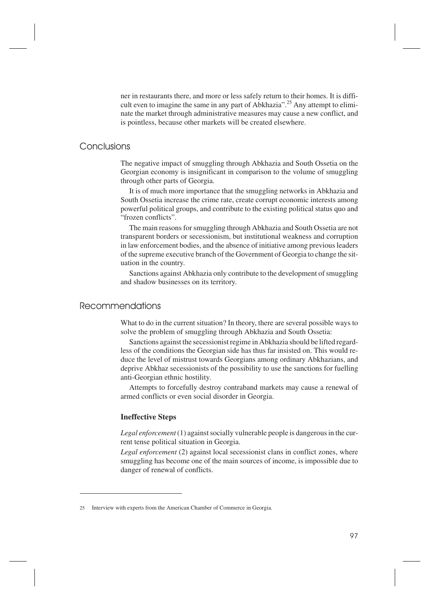ner in restaurants there, and more or less safely return to their homes. It is difficult even to imagine the same in any part of Abkhazia".<sup>25</sup> Any attempt to eliminate the market through administrative measures may cause a new conflict, and is pointless, because other markets will be created elsewhere.

#### **Conclusions**

The negative impact of smuggling through Abkhazia and South Ossetia on the Georgian economy is insignificant in comparison to the volume of smuggling through other parts of Georgia.

It is of much more importance that the smuggling networks in Abkhazia and South Ossetia increase the crime rate, create corrupt economic interests among powerful political groups, and contribute to the existing political status quo and "frozen conflicts".

The main reasons for smuggling through Abkhazia and South Ossetia are not transparent borders or secessionism, but institutional weakness and corruption in law enforcement bodies, and the absence of initiative among previous leaders of the supreme executive branch of the Government of Georgia to change the situation in the country.

Sanctions against Abkhazia only contribute to the development of smuggling and shadow businesses on its territory.

## Recommendations

What to do in the current situation? In theory, there are several possible ways to solve the problem of smuggling through Abkhazia and South Ossetia:

Sanctions against the secessionist regime in Abkhazia should be lifted regardless of the conditions the Georgian side has thus far insisted on. This would reduce the level of mistrust towards Georgians among ordinary Abkhazians, and deprive Abkhaz secessionists of the possibility to use the sanctions for fuelling anti-Georgian ethnic hostility.

Attempts to forcefully destroy contraband markets may cause a renewal of armed conflicts or even social disorder in Georgia.

#### **Ineffective Steps**

*Legal enforcement*(1) against socially vulnerable people is dangerous in the current tense political situation in Georgia.

*Legal enforcement* (2) against local secessionist clans in conflict zones, where smuggling has become one of the main sources of income, is impossible due to danger of renewal of conflicts.

<sup>25</sup> Interview with experts from the American Chamber of Commerce in Georgia.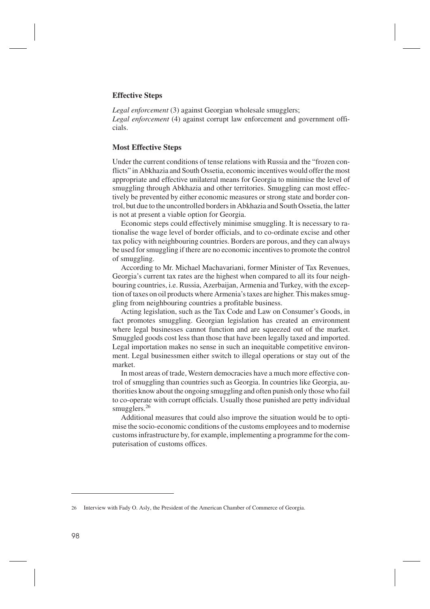#### **Effective Steps**

*Legal enforcement* (3) against Georgian wholesale smugglers; *Legal enforcement* (4) against corrupt law enforcement and government officials.

#### **Most Effective Steps**

Under the current conditions of tense relations with Russia and the "frozen conflicts" in Abkhazia and South Ossetia, economic incentives would offer the most appropriate and effective unilateral means for Georgia to minimise the level of smuggling through Abkhazia and other territories. Smuggling can most effectively be prevented by either economic measures or strong state and border control, but due to the uncontrolled borders in Abkhazia and South Ossetia, the latter is not at present a viable option for Georgia.

Economic steps could effectively minimise smuggling. It is necessary to rationalise the wage level of border officials, and to co-ordinate excise and other tax policy with neighbouring countries. Borders are porous, and they can always be used for smuggling if there are no economic incentives to promote the control of smuggling.

According to Mr. Michael Machavariani, former Minister of Tax Revenues, Georgia's current tax rates are the highest when compared to all its four neighbouring countries, i.e. Russia, Azerbaijan, Armenia and Turkey, with the exception of taxes on oil products where Armenia's taxes are higher. This makes smuggling from neighbouring countries a profitable business.

Acting legislation, such as the Tax Code and Law on Consumer's Goods, in fact promotes smuggling. Georgian legislation has created an environment where legal businesses cannot function and are squeezed out of the market. Smuggled goods cost less than those that have been legally taxed and imported. Legal importation makes no sense in such an inequitable competitive environment. Legal businessmen either switch to illegal operations or stay out of the market.

In most areas of trade, Western democracies have a much more effective control of smuggling than countries such as Georgia. In countries like Georgia, authorities know about the ongoing smuggling and often punish only those who fail to co-operate with corrupt officials. Usually those punished are petty individual smugglers.<sup>26</sup>

Additional measures that could also improve the situation would be to optimise the socio-economic conditions of the customs employees and to modernise customs infrastructure by, for example, implementing a programme for the computerisation of customs offices.

<sup>26</sup> Interview with Fady O. Asly, the President of the American Chamber of Commerce of Georgia.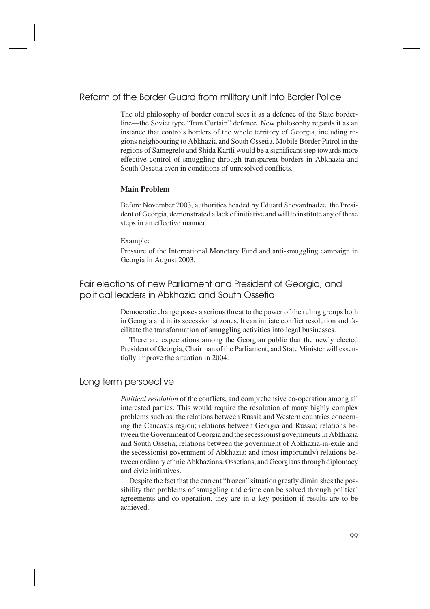## Reform of the Border Guard from military unit into Border Police

The old philosophy of border control sees it as a defence of the State borderline—the Soviet type "Iron Curtain" defence. New philosophy regards it as an instance that controls borders of the whole territory of Georgia, including regions neighbouring to Abkhazia and South Ossetia. Mobile Border Patrol in the regions of Samegrelo and Shida Kartli would be a significant step towards more effective control of smuggling through transparent borders in Abkhazia and South Ossetia even in conditions of unresolved conflicts.

#### **Main Problem**

Before November 2003, authorities headed by Eduard Shevardnadze, the President of Georgia, demonstrated a lack of initiative and will to institute any of these steps in an effective manner.

#### Example:

Pressure of the International Monetary Fund and anti-smuggling campaign in Georgia in August 2003.

Fair elections of new Parliament and President of Georgia, and political leaders in Abkhazia and South Ossetia

> Democratic change poses a serious threat to the power of the ruling groups both in Georgia and in its secessionist zones. It can initiate conflict resolution and facilitate the transformation of smuggling activities into legal businesses.

> There are expectations among the Georgian public that the newly elected President of Georgia, Chairman of the Parliament, and State Minister will essentially improve the situation in 2004.

## Long term perspective

*Political resolution* of the conflicts, and comprehensive co-operation among all interested parties. This would require the resolution of many highly complex problems such as: the relations between Russia and Western countries concerning the Caucasus region; relations between Georgia and Russia; relations between the Government of Georgia and the secessionist governments in Abkhazia and South Ossetia; relations between the government of Abkhazia-in-exile and the secessionist government of Abkhazia; and (most importantly) relations between ordinary ethnic Abkhazians, Ossetians, and Georgians through diplomacy and civic initiatives.

Despite the fact that the current "frozen" situation greatly diminishes the possibility that problems of smuggling and crime can be solved through political agreements and co-operation, they are in a key position if results are to be achieved.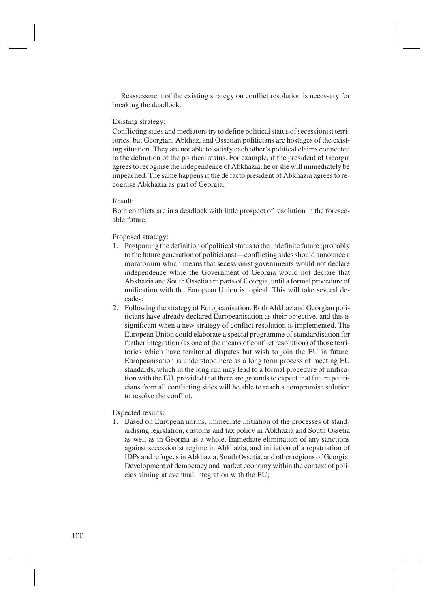Reassessment of the existing strategy on conflict resolution is necessary for breaking the deadlock.

#### Existing strategy:

Conflicting sides and mediators try to define political status of secessionist territories, but Georgian, Abkhaz, and Ossetian politicians are hostages of the existing situation. They are not able to satisfy each other's political claims connected to the definition of the political status. For example, if the president of Georgia agrees to recognise the independence of Abkhazia, he or she will immediately be impeached. The same happens if the de facto president of Abkhazia agrees to recognise Abkhazia as part of Georgia.

#### Result:

Both conflicts are in a deadlock with little prospect of resolution in the foreseeable future.

#### Proposed strategy:

- 1. Postponing the definition of political status to the indefinite future (probably to the future generation of politicians)—conflicting sides should announce a moratorium which means that secessionist governments would not declare independence while the Government of Georgia would not declare that Abkhazia and South Ossetia are parts of Georgia, until a formal procedure of unification with the European Union is topical. This will take several decades;
- 2. Following the strategy of Europeanisation. Both Abkhaz and Georgian politicians have already declared Europeanisation as their objective, and this is significant when a new strategy of conflict resolution is implemented. The European Union could elaborate a special programme of standardisation for further integration (as one of the means of conflict resolution) of those territories which have territorial disputes but wish to join the EU in future. Europeanisation is understood here as a long term process of meeting EU standards, which in the long run may lead to a formal procedure of unification with the EU, provided that there are grounds to expect that future politicians from all conflicting sides will be able to reach a compromise solution to resolve the conflict.

#### Expected results:

1. Based on European norms, immediate initiation of the processes of standardising legislation, customs and tax policy in Abkhazia and South Ossetia as well as in Georgia as a whole. Immediate elimination of any sanctions against secessionist regime in Abkhazia, and initiation of a repatriation of IDPs and refugees in Abkhazia, South Ossetia, and other regions of Georgia. Development of democracy and market economy within the context of policies aiming at eventual integration with the EU;